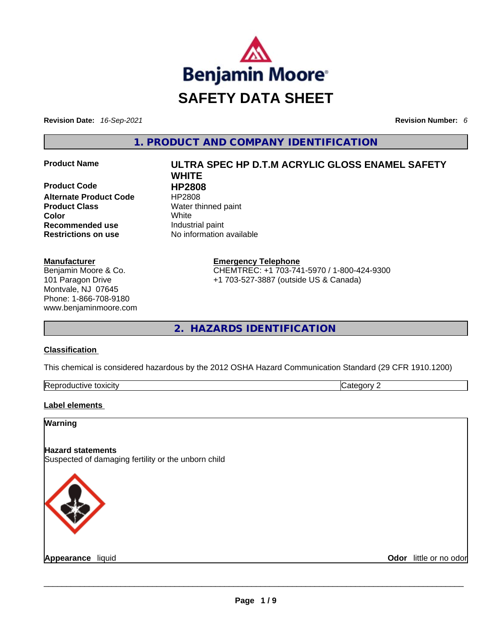

**Revision Date:** *16-Sep-2021* **Revision Number:** *6*

**1. PRODUCT AND COMPANY IDENTIFICATION** 

**Product Code 
<b>Code**<br> **Alternate Product Code HP2808 Alternate Product Code Product Class Water thinned paint Color** White **Recommended use Industrial paint Restrictions on use** No information available

# **Manufacturer**

Benjamin Moore & Co. 101 Paragon Drive Montvale, NJ 07645 Phone: 1-866-708-9180 www.benjaminmoore.com

# **Product Name ULTRA SPEC HP D.T.M ACRYLIC GLOSS ENAMEL SAFETY WHITE**

**Emergency Telephone** CHEMTREC: +1 703-741-5970 / 1-800-424-9300 +1 703-527-3887 (outside US & Canada)

**2. HAZARDS IDENTIFICATION** 

# **Classification**

This chemical is considered hazardous by the 2012 OSHA Hazard Communication Standard (29 CFR 1910.1200)

| Reprod<br>toxicity<br>Jductive ** | ----<br>. |
|-----------------------------------|-----------|
|                                   |           |

# **Label elements**

**Warning** 

# **Hazard statements**

Suspected of damaging fertility or the unborn child



**Appearance** liquid **Odor** little or no odor \_\_\_\_\_\_\_\_\_\_\_\_\_\_\_\_\_\_\_\_\_\_\_\_\_\_\_\_\_\_\_\_\_\_\_\_\_\_\_\_\_\_\_\_\_\_\_\_\_\_\_\_\_\_\_\_\_\_\_\_\_\_\_\_\_\_\_\_\_\_\_\_\_\_\_\_\_\_\_\_\_\_\_\_\_\_\_\_\_\_\_\_\_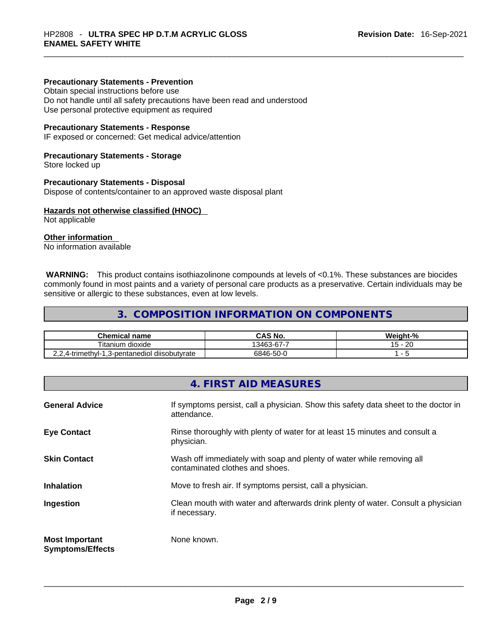#### **Precautionary Statements - Prevention**

Obtain special instructions before use

Do not handle until all safety precautions have been read and understood Use personal protective equipment as required

#### **Precautionary Statements - Response**

IF exposed or concerned: Get medical advice/attention

# **Precautionary Statements - Storage**

Store locked up

#### **Precautionary Statements - Disposal**

Dispose of contents/container to an approved waste disposal plant

# **Hazards not otherwise classified (HNOC)**

Not applicable

# **Other information**

No information available

 **WARNING:** This product contains isothiazolinone compounds at levels of <0.1%. These substances are biocides commonly found in most paints and a variety of personal care products as a preservative. Certain individuals may be sensitive or allergic to these substances, even at low levels.

# **3. COMPOSITION INFORMATION ON COMPONENTS**

| <b>Chemical name</b>                        | CAS No.    | Weight-% |
|---------------------------------------------|------------|----------|
| Titanium<br>dioxide                         | 13463-67-7 | 20<br>脉  |
| 2,4-trimethyl-1,3-pentanediol diisobutyrate | 6846-50-0  |          |

# **4. FIRST AID MEASURES**

| <b>General Advice</b>                            | If symptoms persist, call a physician. Show this safety data sheet to the doctor in<br>attendance.       |
|--------------------------------------------------|----------------------------------------------------------------------------------------------------------|
| <b>Eye Contact</b>                               | Rinse thoroughly with plenty of water for at least 15 minutes and consult a<br>physician.                |
| <b>Skin Contact</b>                              | Wash off immediately with soap and plenty of water while removing all<br>contaminated clothes and shoes. |
| <b>Inhalation</b>                                | Move to fresh air. If symptoms persist, call a physician.                                                |
| Ingestion                                        | Clean mouth with water and afterwards drink plenty of water. Consult a physician<br>if necessary.        |
| <b>Most Important</b><br><b>Symptoms/Effects</b> | None known.                                                                                              |
|                                                  |                                                                                                          |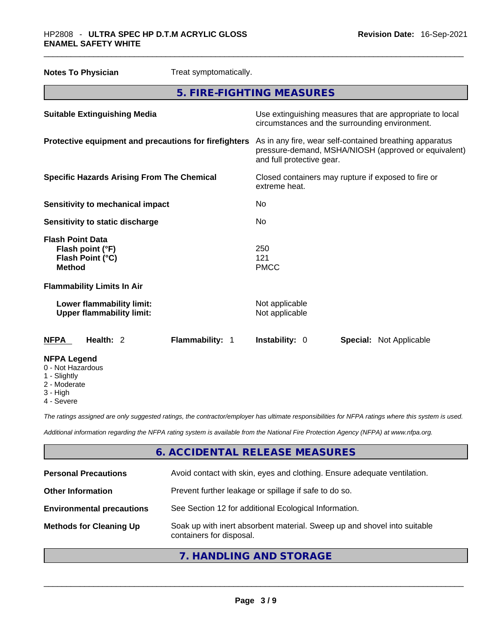| <b>Notes To Physician</b>                                                        | Treat symptomatically. |                                  |                                                                                                                 |
|----------------------------------------------------------------------------------|------------------------|----------------------------------|-----------------------------------------------------------------------------------------------------------------|
|                                                                                  |                        | 5. FIRE-FIGHTING MEASURES        |                                                                                                                 |
| <b>Suitable Extinguishing Media</b>                                              |                        |                                  | Use extinguishing measures that are appropriate to local<br>circumstances and the surrounding environment.      |
| Protective equipment and precautions for firefighters                            |                        | and full protective gear.        | As in any fire, wear self-contained breathing apparatus<br>pressure-demand, MSHA/NIOSH (approved or equivalent) |
| <b>Specific Hazards Arising From The Chemical</b>                                |                        | extreme heat.                    | Closed containers may rupture if exposed to fire or                                                             |
| <b>Sensitivity to mechanical impact</b>                                          |                        | N <sub>0</sub>                   |                                                                                                                 |
| Sensitivity to static discharge                                                  |                        | No                               |                                                                                                                 |
| <b>Flash Point Data</b><br>Flash point (°F)<br>Flash Point (°C)<br><b>Method</b> |                        | 250<br>121<br><b>PMCC</b>        |                                                                                                                 |
| <b>Flammability Limits In Air</b>                                                |                        |                                  |                                                                                                                 |
| Lower flammability limit:<br><b>Upper flammability limit:</b>                    |                        | Not applicable<br>Not applicable |                                                                                                                 |
| <b>NFPA</b><br>Health: 2                                                         | Flammability: 1        | Instability: 0                   | <b>Special: Not Applicable</b>                                                                                  |
| <b>NFPA Legend</b><br>0 - Not Hazardous                                          |                        |                                  |                                                                                                                 |

- 1 Slightly
- 2 Moderate
- 3 High
- 4 Severe

*The ratings assigned are only suggested ratings, the contractor/employer has ultimate responsibilities for NFPA ratings where this system is used.* 

*Additional information regarding the NFPA rating system is available from the National Fire Protection Agency (NFPA) at www.nfpa.org.* 

# **6. ACCIDENTAL RELEASE MEASURES**

| <b>Personal Precautions</b>      | Avoid contact with skin, eyes and clothing. Ensure adequate ventilation.                             |
|----------------------------------|------------------------------------------------------------------------------------------------------|
| <b>Other Information</b>         | Prevent further leakage or spillage if safe to do so.                                                |
| <b>Environmental precautions</b> | See Section 12 for additional Ecological Information.                                                |
| <b>Methods for Cleaning Up</b>   | Soak up with inert absorbent material. Sweep up and shovel into suitable<br>containers for disposal. |
|                                  |                                                                                                      |

**7. HANDLING AND STORAGE**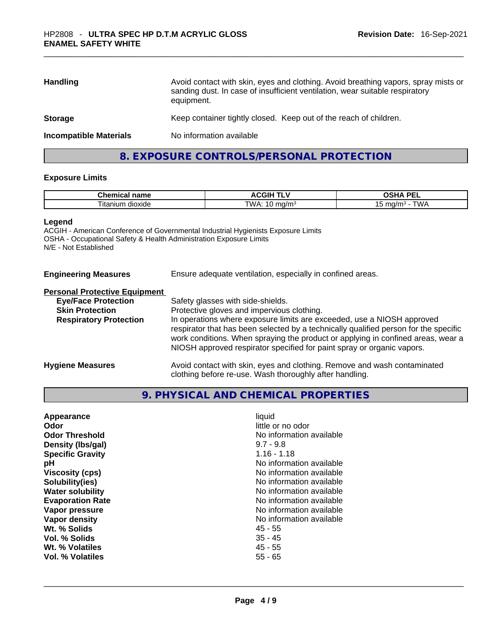| <b>Handling</b>               | Avoid contact with skin, eyes and clothing. Avoid breathing vapors, spray mists or<br>sanding dust. In case of insufficient ventilation, wear suitable respiratory<br>equipment. |
|-------------------------------|----------------------------------------------------------------------------------------------------------------------------------------------------------------------------------|
| <b>Storage</b>                | Keep container tightly closed. Keep out of the reach of children.                                                                                                                |
| <b>Incompatible Materials</b> | No information available                                                                                                                                                         |

# **8. EXPOSURE CONTROLS/PERSONAL PROTECTION**

# **Exposure Limits**

| <b>Chemical</b><br>name        | . .<br>-----<br>…<br>. اتا،<br>.<br>. . | <b>DE</b><br>--                 |
|--------------------------------|-----------------------------------------|---------------------------------|
| $ \sim$<br>dioxide<br>lta.<br> | W.<br>7/m <sub>o</sub><br>.<br>. .      | $\mathbf{u}$<br>ma/m<br>שו<br>ັ |

#### **Legend**

ACGIH - American Conference of Governmental Industrial Hygienists Exposure Limits OSHA - Occupational Safety & Health Administration Exposure Limits N/E - Not Established

| <b>Engineering Measures</b> | Ensure adequate ventilation, especially in confined areas. |
|-----------------------------|------------------------------------------------------------|
|                             |                                                            |

# **Personal Protective Equipment**

| <b>Eye/Face Protection</b>    | Safety glasses with side-shields.                                                                                                                                                                                                                                                                                            |
|-------------------------------|------------------------------------------------------------------------------------------------------------------------------------------------------------------------------------------------------------------------------------------------------------------------------------------------------------------------------|
| <b>Skin Protection</b>        | Protective gloves and impervious clothing.                                                                                                                                                                                                                                                                                   |
| <b>Respiratory Protection</b> | In operations where exposure limits are exceeded, use a NIOSH approved<br>respirator that has been selected by a technically qualified person for the specific<br>work conditions. When spraying the product or applying in confined areas, wear a<br>NIOSH approved respirator specified for paint spray or organic vapors. |
| <b>Hygiene Measures</b>       | Avoid contact with skin, eyes and clothing. Remove and wash contaminated                                                                                                                                                                                                                                                     |

clothing before re-use. Wash thoroughly after handling.

# **9. PHYSICAL AND CHEMICAL PROPERTIES**

| Appearance<br>Odor<br><b>Odor Threshold</b> | liquid<br>little or no odor<br>No information available |
|---------------------------------------------|---------------------------------------------------------|
| Density (Ibs/gal)                           | $9.7 - 9.8$                                             |
| <b>Specific Gravity</b>                     | $1.16 - 1.18$                                           |
| рH                                          | No information available                                |
| <b>Viscosity (cps)</b>                      | No information available                                |
| Solubility(ies)                             | No information available                                |
| <b>Water solubility</b>                     | No information available                                |
| <b>Evaporation Rate</b>                     | No information available                                |
| Vapor pressure                              | No information available                                |
| Vapor density                               | No information available                                |
| Wt. % Solids                                | 45 - 55                                                 |
| Vol. % Solids                               | $35 - 45$                                               |
| Wt. % Volatiles                             | $45 - 55$                                               |
| Vol. % Volatiles                            | $55 - 65$                                               |
|                                             |                                                         |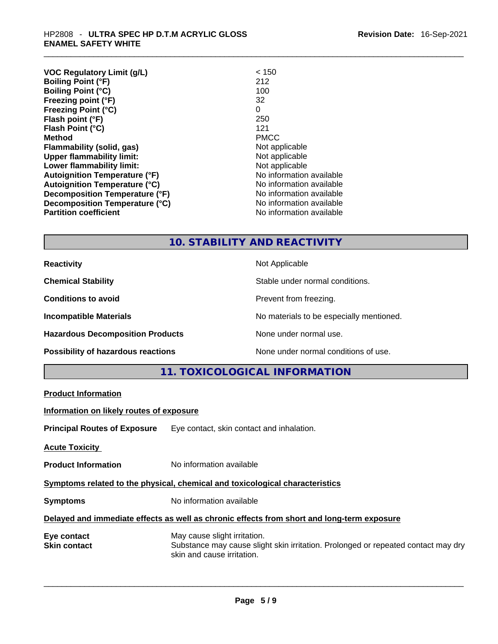| <b>VOC Regulatory Limit (g/L)</b>    | < 150                    |
|--------------------------------------|--------------------------|
| <b>Boiling Point (°F)</b>            | 212                      |
| <b>Boiling Point (°C)</b>            | 100                      |
| Freezing point (°F)                  | 32                       |
| <b>Freezing Point (°C)</b>           | 0                        |
| Flash point (°F)                     | 250                      |
| Flash Point (°C)                     | 121                      |
| <b>Method</b>                        | <b>PMCC</b>              |
| Flammability (solid, gas)            | Not applicable           |
| <b>Upper flammability limit:</b>     | Not applicable           |
| Lower flammability limit:            | Not applicable           |
| <b>Autoignition Temperature (°F)</b> | No information available |
| <b>Autoignition Temperature (°C)</b> | No information available |
| Decomposition Temperature (°F)       | No information available |
| Decomposition Temperature (°C)       | No information available |
| <b>Partition coefficient</b>         | No information available |

# **10. STABILITY AND REACTIVITY**

**Reactivity Not Applicable Not Applicable Chemical Stability Chemical Stability** Stable under normal conditions. **Conditions to avoid Prevent from freezing. Incompatible Materials Incompatible Materials Materials No materials to be especially mentioned. Hazardous Decomposition Products** None under normal use. **Possibility of hazardous reactions** None under normal conditions of use.

**11. TOXICOLOGICAL INFORMATION** 

| <b>Product Information</b>               |                                                                                                                                                 |
|------------------------------------------|-------------------------------------------------------------------------------------------------------------------------------------------------|
| Information on likely routes of exposure |                                                                                                                                                 |
|                                          | <b>Principal Routes of Exposure</b> Eye contact, skin contact and inhalation.                                                                   |
| <b>Acute Toxicity</b>                    |                                                                                                                                                 |
| <b>Product Information</b>               | No information available                                                                                                                        |
|                                          | Symptoms related to the physical, chemical and toxicological characteristics                                                                    |
| <b>Symptoms</b>                          | No information available                                                                                                                        |
|                                          | Delayed and immediate effects as well as chronic effects from short and long-term exposure                                                      |
| Eye contact<br><b>Skin contact</b>       | May cause slight irritation.<br>Substance may cause slight skin irritation. Prolonged or repeated contact may dry<br>skin and cause irritation. |
|                                          |                                                                                                                                                 |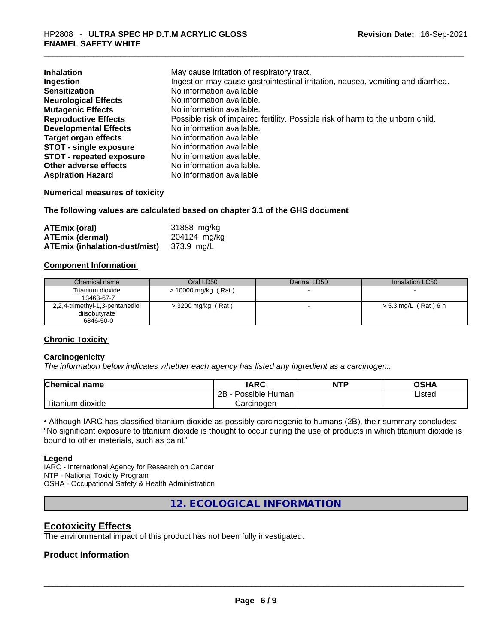| <b>Inhalation</b>               | May cause irritation of respiratory tract.                                      |
|---------------------------------|---------------------------------------------------------------------------------|
| Ingestion                       | Ingestion may cause gastrointestinal irritation, nausea, vomiting and diarrhea. |
| <b>Sensitization</b>            | No information available                                                        |
| <b>Neurological Effects</b>     | No information available.                                                       |
| <b>Mutagenic Effects</b>        | No information available.                                                       |
| <b>Reproductive Effects</b>     | Possible risk of impaired fertility. Possible risk of harm to the unborn child. |
| <b>Developmental Effects</b>    | No information available.                                                       |
| <b>Target organ effects</b>     | No information available.                                                       |
| <b>STOT - single exposure</b>   | No information available.                                                       |
| <b>STOT - repeated exposure</b> | No information available.                                                       |
| Other adverse effects           | No information available.                                                       |
| <b>Aspiration Hazard</b>        | No information available                                                        |

# **Numerical measures of toxicity**

**The following values are calculated based on chapter 3.1 of the GHS document**

| <b>ATEmix (oral)</b>          | 31888 mg/kg  |
|-------------------------------|--------------|
| <b>ATEmix (dermal)</b>        | 204124 mg/kg |
| ATEmix (inhalation-dust/mist) | 373.9 mg/L   |

# **Component Information**

| Chemical name                   | Oral LD50             | Dermal LD50 | Inhalation LC50    |
|---------------------------------|-----------------------|-------------|--------------------|
| Titanium dioxide                | $> 10000$ mg/kg (Rat) |             | $\sim$             |
| 13463-67-7                      |                       |             |                    |
| 2,2,4-trimethyl-1,3-pentanediol | $>$ 3200 mg/kg (Rat)  |             | >5.3 mg/L (Rat)6 h |
| diisobutyrate                   |                       |             |                    |
| 6846-50-0                       |                       |             |                    |

# **Chronic Toxicity**

# **Carcinogenicity**

*The information below indicates whether each agency has listed any ingredient as a carcinogen:.* 

| <b>Chemical name</b>  | <b>IARC</b>          | <b>NTP</b> | OSHA   |
|-----------------------|----------------------|------------|--------|
|                       | Possible Human<br>2Β |            | Listed |
| Titanium 、<br>dioxide | Carcinoɑen           |            |        |

• Although IARC has classified titanium dioxide as possibly carcinogenic to humans (2B), their summary concludes: "No significant exposure to titanium dioxide is thought to occur during the use of products in which titanium dioxide is bound to other materials, such as paint."

# **Legend**

IARC - International Agency for Research on Cancer NTP - National Toxicity Program OSHA - Occupational Safety & Health Administration

**12. ECOLOGICAL INFORMATION** 

# **Ecotoxicity Effects**

The environmental impact of this product has not been fully investigated.

# **Product Information**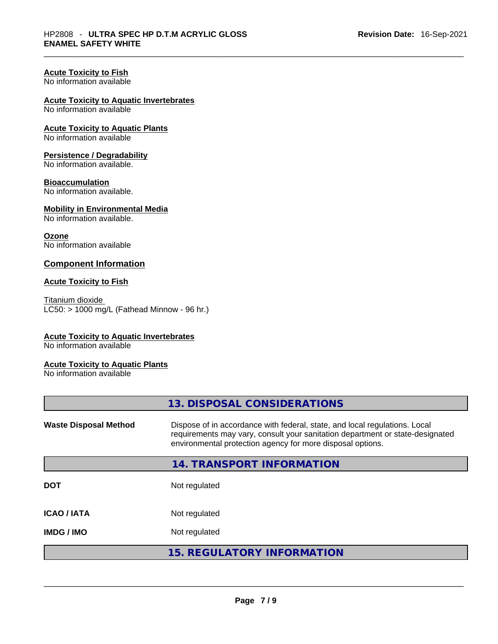# **Acute Toxicity to Fish**

No information available

# **Acute Toxicity to Aquatic Invertebrates**

No information available

# **Acute Toxicity to Aquatic Plants**

No information available

# **Persistence / Degradability**

No information available.

# **Bioaccumulation**

No information available.

# **Mobility in Environmental Media**

No information available.

# **Ozone**

No information available

# **Component Information**

# **Acute Toxicity to Fish**

Titanium dioxide  $LC50:$  > 1000 mg/L (Fathead Minnow - 96 hr.)

# **Acute Toxicity to Aquatic Invertebrates**

No information available

# **Acute Toxicity to Aquatic Plants**

No information available

| <b>Waste Disposal Method</b> | Dispose of in accordance with federal, state, and local regulations. Local<br>requirements may vary, consult your sanitation department or state-designated |
|------------------------------|-------------------------------------------------------------------------------------------------------------------------------------------------------------|
|                              | environmental protection agency for more disposal options.                                                                                                  |
|                              | 14. TRANSPORT INFORMATION                                                                                                                                   |
| <b>DOT</b>                   | Not regulated                                                                                                                                               |
| <b>ICAO/IATA</b>             | Not regulated                                                                                                                                               |
| <b>IMDG / IMO</b>            | Not regulated                                                                                                                                               |
|                              | <b>15. REGULATORY INFORMATION</b>                                                                                                                           |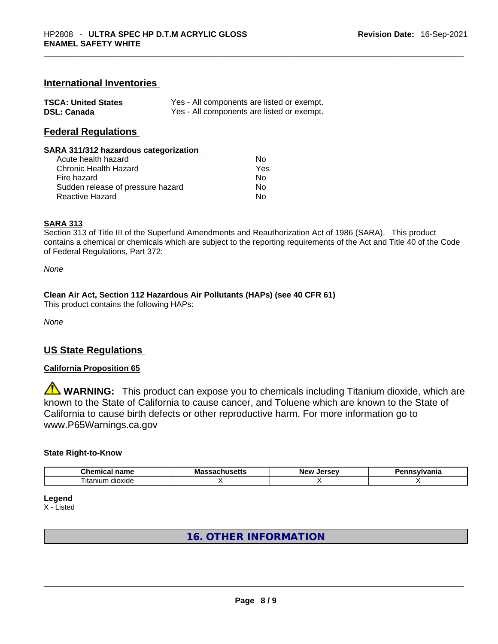# **International Inventories**

| <b>TSCA: United States</b> | Yes - All components are listed or exempt. |
|----------------------------|--------------------------------------------|
| <b>DSL: Canada</b>         | Yes - All components are listed or exempt. |

# **Federal Regulations**

#### **SARA 311/312 hazardous categorization**

| Acute health hazard               | Nο  |
|-----------------------------------|-----|
| Chronic Health Hazard             | Yes |
| Fire hazard                       | N٥  |
| Sudden release of pressure hazard | N٥  |
| Reactive Hazard                   | N٥  |

# **SARA 313**

Section 313 of Title III of the Superfund Amendments and Reauthorization Act of 1986 (SARA). This product contains a chemical or chemicals which are subject to the reporting requirements of the Act and Title 40 of the Code of Federal Regulations, Part 372:

*None*

# **Clean Air Act,Section 112 Hazardous Air Pollutants (HAPs) (see 40 CFR 61)**

This product contains the following HAPs:

*None*

# **US State Regulations**

# **California Proposition 65**

**WARNING:** This product can expose you to chemicals including Titanium dioxide, which are known to the State of California to cause cancer, and Toluene which are known to the State of California to cause birth defects or other reproductive harm. For more information go to www.P65Warnings.ca.gov

#### **State Right-to-Know**

| $\sim$<br>$   -$<br>.nem<br>,,,<br>н.а<br>нан | Ma<br>21 L C | -------<br>NΑI | $-$ - $ \cdots$ $\cdots$ $\cdots$<br>нс |
|-----------------------------------------------|--------------|----------------|-----------------------------------------|
| --<br>--<br>dioxide<br>itanium                |              |                |                                         |

**Legend**

X - Listed

# **16. OTHER INFORMATION**